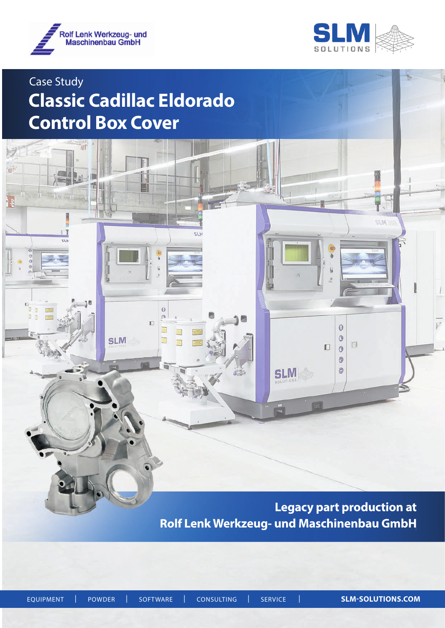

ïП

 $\overline{\mathbf{S}}$ 

َ ∍ آ

 $\ddot{\Omega}$  $\circ$ 

丽

i<br>Li



**ALIA** 

 $\bf{0}$ 

 $\circledcirc$ 

 $\Box$  $\bullet$  $\odot$  $\circ$ 

 $\Box$ 

# Case Study **Classic Cadillac Eldorado Control Box Cover**

E

 $\ddot{\mathbf{0}}$  $\sqrt{a}$  $\Box$ 

E

E

E

**SLM** 

 $513$ 

**Legacy part production at Rolf Lenk Werkzeug- und Maschinenbau GmbH**

**SLM**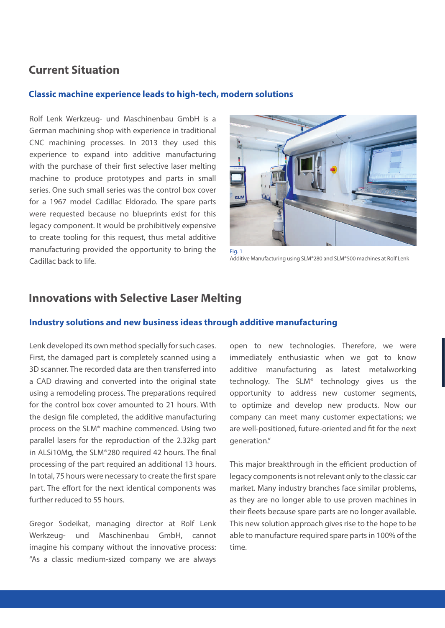## **Current Situation**

#### **Classic machine experience leads to high-tech, modern solutions**

Rolf Lenk Werkzeug- und Maschinenbau GmbH is a German machining shop with experience in traditional CNC machining processes. In 2013 they used this experience to expand into additive manufacturing with the purchase of their first selective laser melting machine to produce prototypes and parts in small series. One such small series was the control box cover for a 1967 model Cadillac Eldorado. The spare parts were requested because no blueprints exist for this legacy component. It would be prohibitively expensive to create tooling for this request, thus metal additive manufacturing provided the opportunity to bring the Cadillac back to life.



Additive Manufacturing using SLM®280 and SLM®500 machines at Rolf Lenk

## **Innovations with Selective Laser Melting**

### **Industry solutions and new business ideas through additive manufacturing**

Lenk developed its own method specially for such cases. First, the damaged part is completely scanned using a 3D scanner. The recorded data are then transferred into a CAD drawing and converted into the original state using a remodeling process. The preparations required for the control box cover amounted to 21 hours. With the design file completed, the additive manufacturing process on the SLM® machine commenced. Using two parallel lasers for the reproduction of the 2.32kg part in ALSi10Mg, the SLM®280 required 42 hours. The final processing of the part required an additional 13 hours. In total, 75 hours were necessary to create the first spare part. The effort for the next identical components was further reduced to 55 hours.

Gregor Sodeikat, managing director at Rolf Lenk Werkzeug- und Maschinenbau GmbH, cannot imagine his company without the innovative process: "As a classic medium-sized company we are always

open to new technologies. Therefore, we were immediately enthusiastic when we got to know additive manufacturing as latest metalworking technology. The SLM® technology gives us the opportunity to address new customer segments, to optimize and develop new products. Now our company can meet many customer expectations; we are well-positioned, future-oriented and fit for the next generation."

This major breakthrough in the efficient production of legacy components is not relevant only to the classic car market. Many industry branches face similar problems, as they are no longer able to use proven machines in their fleets because spare parts are no longer available. This new solution approach gives rise to the hope to be able to manufacture required spare parts in 100% of the time.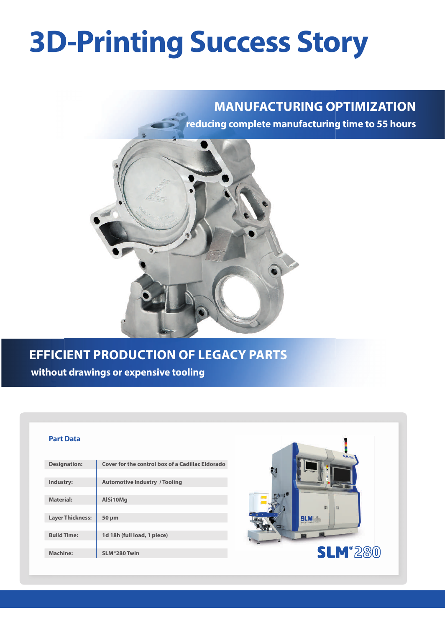# **3D-Printing Success Story**

## **MANUFACTURING OPTIMIZATION**

**reducing complete manufacturing time to 55 hours**



## **EFFICIENT PRODUCTION OF LEGACY PARTS without drawings or expensive tooling**

#### **Part Data**

| <b>Designation:</b>     | Cover for the control box of a Cadillac Eldorado |
|-------------------------|--------------------------------------------------|
|                         |                                                  |
| Industry:               | <b>Automotive Industry / Tooling</b>             |
|                         |                                                  |
| <b>Material:</b>        | AlSi10Mg                                         |
|                         |                                                  |
| <b>Layer Thickness:</b> | $50 \mu m$                                       |
|                         |                                                  |
| <b>Build Time:</b>      | 1d 18h (full load, 1 piece)                      |
|                         |                                                  |
| Machine:                | SLM®280 Twin                                     |